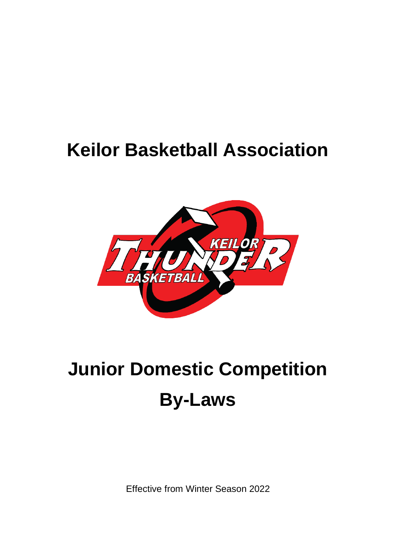# **Keilor Basketball Association**



# **Junior Domestic Competition By-Laws**

Effective from Winter Season 2022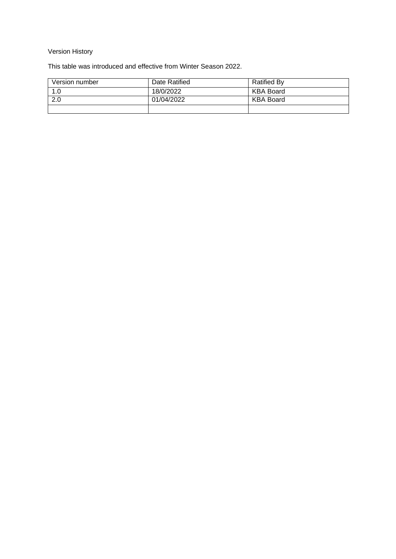#### Version History

This table was introduced and effective from Winter Season 2022.

| Version number | Date Ratified | <b>Ratified By</b> |
|----------------|---------------|--------------------|
| 1.0            | 18/0/2022     | KBA Board          |
| 2.0            | 01/04/2022    | KBA Board          |
|                |               |                    |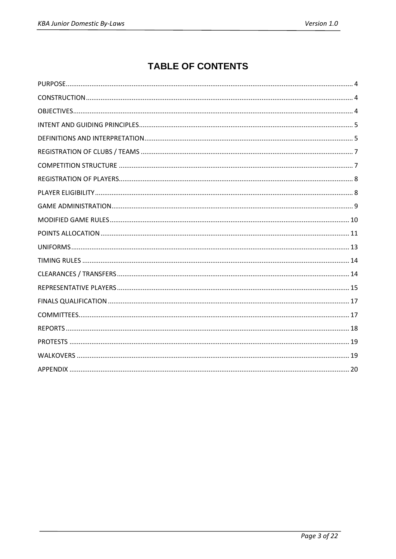## **TABLE OF CONTENTS**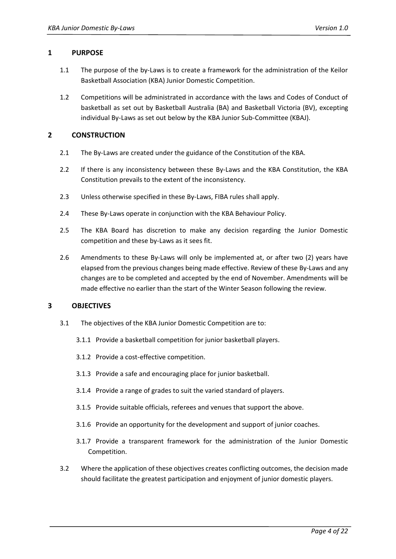#### <span id="page-3-0"></span>**1 PURPOSE**

- 1.1 The purpose of the by-Laws is to create a framework for the administration of the Keilor Basketball Association (KBA) Junior Domestic Competition.
- 1.2 Competitions will be administrated in accordance with the laws and Codes of Conduct of basketball as set out by Basketball Australia (BA) and Basketball Victoria (BV), excepting individual By-Laws as set out below by the KBA Junior Sub-Committee (KBAJ).

#### <span id="page-3-1"></span>**2 CONSTRUCTION**

- 2.1 The By-Laws are created under the guidance of the Constitution of the KBA.
- 2.2 If there is any inconsistency between these By-Laws and the KBA Constitution, the KBA Constitution prevails to the extent of the inconsistency.
- 2.3 Unless otherwise specified in these By-Laws, FIBA rules shall apply.
- 2.4 These By-Laws operate in conjunction with the KBA Behaviour Policy.
- 2.5 The KBA Board has discretion to make any decision regarding the Junior Domestic competition and these by-Laws as it sees fit.
- 2.6 Amendments to these By-Laws will only be implemented at, or after two (2) years have elapsed from the previous changes being made effective. Review of these By-Laws and any changes are to be completed and accepted by the end of November. Amendments will be made effective no earlier than the start of the Winter Season following the review.

#### <span id="page-3-2"></span>**3 OBJECTIVES**

- 3.1 The objectives of the KBA Junior Domestic Competition are to:
	- 3.1.1 Provide a basketball competition for junior basketball players.
	- 3.1.2 Provide a cost-effective competition.
	- 3.1.3 Provide a safe and encouraging place for junior basketball.
	- 3.1.4 Provide a range of grades to suit the varied standard of players.
	- 3.1.5 Provide suitable officials, referees and venues that support the above.
	- 3.1.6 Provide an opportunity for the development and support of junior coaches.
	- 3.1.7 Provide a transparent framework for the administration of the Junior Domestic Competition.
- 3.2 Where the application of these objectives creates conflicting outcomes, the decision made should facilitate the greatest participation and enjoyment of junior domestic players.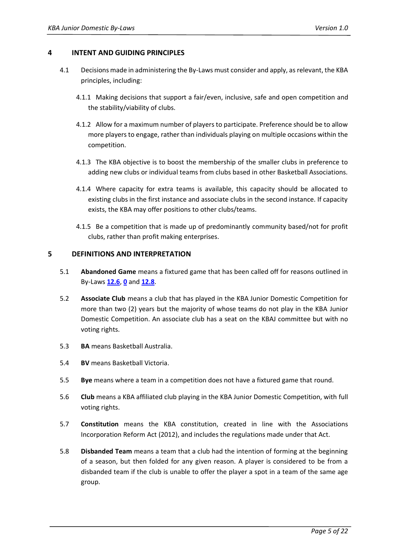#### <span id="page-4-0"></span>**4 INTENT AND GUIDING PRINCIPLES**

- 4.1 Decisions made in administering the By-Laws must consider and apply, as relevant, the KBA principles, including:
	- 4.1.1 Making decisions that support a fair/even, inclusive, safe and open competition and the stability/viability of clubs.
	- 4.1.2 Allow for a maximum number of players to participate. Preference should be to allow more players to engage, rather than individuals playing on multiple occasions within the competition.
	- 4.1.3 The KBA objective is to boost the membership of the smaller clubs in preference to adding new clubs or individual teams from clubs based in other Basketball Associations.
	- 4.1.4 Where capacity for extra teams is available, this capacity should be allocated to existing clubs in the first instance and associate clubs in the second instance. If capacity exists, the KBA may offer positions to other clubs/teams.
	- 4.1.5 Be a competition that is made up of predominantly community based/not for profit clubs, rather than profit making enterprises.

#### <span id="page-4-1"></span>**5 DEFINITIONS AND INTERPRETATION**

- 5.1 **Abandoned Game** means a fixtured game that has been called off for reasons outlined in By-Laws **[12.6](#page-11-0)**[,](#page-11-1) **[0](#page-11-1)** and **[12.8](#page-12-1)**.
- <span id="page-4-2"></span>5.2 **Associate Club** means a club that has played in the KBA Junior Domestic Competition for more than two (2) years but the majority of whose teams do not play in the KBA Junior Domestic Competition. An associate club has a seat on the KBAJ committee but with no voting rights.
- 5.3 **BA** means Basketball Australia.
- 5.4 **BV** means Basketball Victoria.
- 5.5 **Bye** means where a team in a competition does not have a fixtured game that round.
- <span id="page-4-3"></span>5.6 **Club** means a KBA affiliated club playing in the KBA Junior Domestic Competition, with full voting rights.
- 5.7 **Constitution** means the KBA constitution, created in line with the Associations Incorporation Reform Act (2012), and includes the regulations made under that Act.
- 5.8 **Disbanded Team** means a team that a club had the intention of forming at the beginning of a season, but then folded for any given reason. A player is considered to be from a disbanded team if the club is unable to offer the player a spot in a team of the same age group.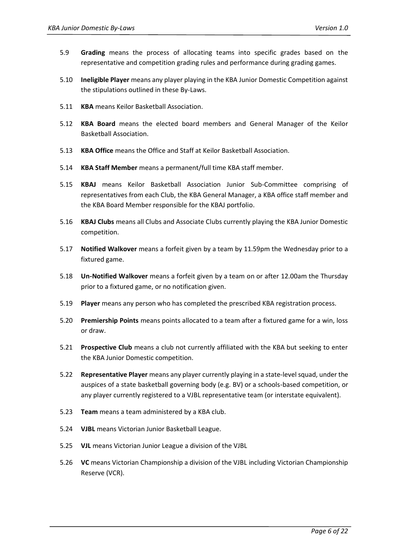- 5.9 **Grading** means the process of allocating teams into specific grades based on the representative and competition grading rules and performance during grading games.
- 5.10 **Ineligible Player** means any player playing in the KBA Junior Domestic Competition against the stipulations outlined in these By-Laws.
- 5.11 **KBA** means Keilor Basketball Association.
- 5.12 **KBA Board** means the elected board members and General Manager of the Keilor Basketball Association.
- 5.13 **KBA Office** means the Office and Staff at Keilor Basketball Association.
- 5.14 **KBA Staff Member** means a permanent/full time KBA staff member.
- 5.15 **KBAJ** means Keilor Basketball Association Junior Sub-Committee comprising of representatives from each Club, the KBA General Manager, a KBA office staff member and the KBA Board Member responsible for the KBAJ portfolio.
- 5.16 **KBAJ Clubs** means all Clubs and Associate Clubs currently playing the KBA Junior Domestic competition.
- <span id="page-5-1"></span>5.17 **Notified Walkover** means a forfeit given by a team by 11.59pm the Wednesday prior to a fixtured game.
- <span id="page-5-2"></span>5.18 **Un-Notified Walkover** means a forfeit given by a team on or after 12.00am the Thursday prior to a fixtured game, or no notification given.
- 5.19 **Player** means any person who has completed the prescribed KBA registration process.
- 5.20 **Premiership Points** means points allocated to a team after a fixtured game for a win, loss or draw.
- 5.21 **Prospective Club** means a club not currently affiliated with the KBA but seeking to enter the KBA Junior Domestic competition.
- <span id="page-5-0"></span>5.22 **Representative Player** means any player currently playing in a state-level squad, under the auspices of a state basketball governing body (e.g. BV) or a schools-based competition, or any player currently registered to a VJBL representative team (or interstate equivalent).
- 5.23 **Team** means a team administered by a KBA club.
- 5.24 **VJBL** means Victorian Junior Basketball League.
- 5.25 **VJL** means Victorian Junior League a division of the VJBL
- 5.26 **VC** means Victorian Championship a division of the VJBL including Victorian Championship Reserve (VCR).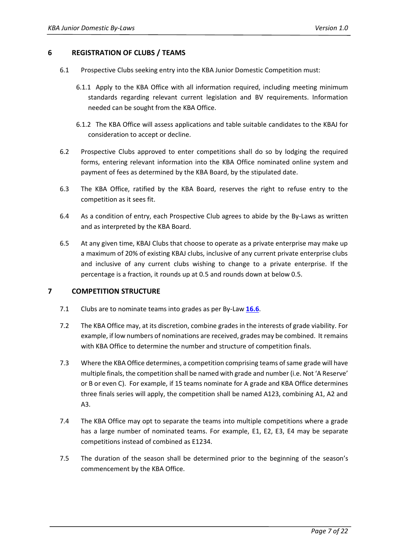#### <span id="page-6-0"></span>**6 REGISTRATION OF CLUBS / TEAMS**

- 6.1 Prospective Clubs seeking entry into the KBA Junior Domestic Competition must:
	- 6.1.1 Apply to the KBA Office with all information required, including meeting minimum standards regarding relevant current legislation and BV requirements. Information needed can be sought from the KBA Office.
	- 6.1.2 The KBA Office will assess applications and table suitable candidates to the KBAJ for consideration to accept or decline.
- 6.2 Prospective Clubs approved to enter competitions shall do so by lodging the required forms, entering relevant information into the KBA Office nominated online system and payment of fees as determined by the KBA Board, by the stipulated date.
- 6.3 The KBA Office, ratified by the KBA Board, reserves the right to refuse entry to the competition as it sees fit.
- 6.4 As a condition of entry, each Prospective Club agrees to abide by the By-Laws as written and as interpreted by the KBA Board.
- 6.5 At any given time, KBAJ Clubs that choose to operate as a private enterprise may make up a maximum of 20% of existing KBAJ clubs, inclusive of any current private enterprise clubs and inclusive of any current clubs wishing to change to a private enterprise. If the percentage is a fraction, it rounds up at 0.5 and rounds down at below 0.5.

#### <span id="page-6-1"></span>**7 COMPETITION STRUCTURE**

- 7.1 Clubs are to nominate teams into grades as per By-Law **[16.6](#page-15-0)**.
- 7.2 The KBA Office may, at its discretion, combine grades in the interests of grade viability. For example, if low numbers of nominations are received, grades may be combined. It remains with KBA Office to determine the number and structure of competition finals.
- 7.3 Where the KBA Office determines, a competition comprising teams of same grade will have multiple finals, the competition shall be named with grade and number (i.e. Not 'A Reserve' or B or even C). For example, if 15 teams nominate for A grade and KBA Office determines three finals series will apply, the competition shall be named A123, combining A1, A2 and A3.
- 7.4 The KBA Office may opt to separate the teams into multiple competitions where a grade has a large number of nominated teams. For example, E1, E2, E3, E4 may be separate competitions instead of combined as E1234.
- 7.5 The duration of the season shall be determined prior to the beginning of the season's commencement by the KBA Office.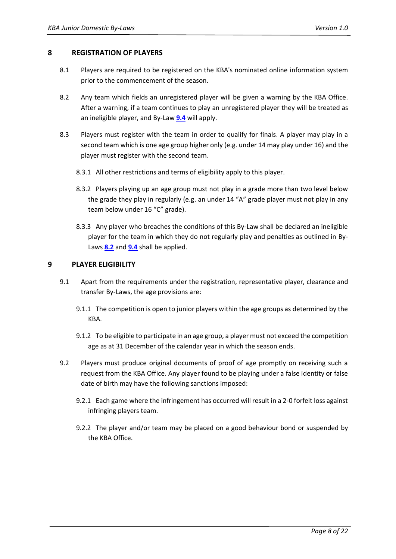#### <span id="page-7-0"></span>**8 REGISTRATION OF PLAYERS**

- 8.1 Players are required to be registered on the KBA's nominated online information system prior to the commencement of the season.
- <span id="page-7-2"></span>8.2 Any team which fields an unregistered player will be given a warning by the KBA Office. After a warning, if a team continues to play an unregistered player they will be treated as an ineligible player, and By-Law **[9.4](#page-8-1)** will apply.
- 8.3 Players must register with the team in order to qualify for finals. A player may play in a second team which is one age group higher only (e.g. under 14 may play under 16) and the player must register with the second team.
	- 8.3.1 All other restrictions and terms of eligibility apply to this player.
	- 8.3.2 Players playing up an age group must not play in a grade more than two level below the grade they play in regularly (e.g. an under 14 "A" grade player must not play in any team below under 16 "C" grade).
	- 8.3.3 Any player who breaches the conditions of this By-Law shall be declared an ineligible player for the team in which they do not regularly play and penalties as outlined in By-Laws **[8.2](#page-7-2)** and **[9.4](#page-8-1)** shall be applied.

#### <span id="page-7-1"></span>**9 PLAYER ELIGIBILITY**

- 9.1 Apart from the requirements under the registration, representative player, clearance and transfer By-Laws, the age provisions are:
	- 9.1.1 The competition is open to junior players within the age groups as determined by the KBA.
	- 9.1.2 To be eligible to participate in an age group, a player must not exceed the competition age as at 31 December of the calendar year in which the season ends.
- 9.2 Players must produce original documents of proof of age promptly on receiving such a request from the KBA Office. Any player found to be playing under a false identity or false date of birth may have the following sanctions imposed:
	- 9.2.1 Each game where the infringement has occurred will result in a 2-0 forfeit loss against infringing players team.
	- 9.2.2 The player and/or team may be placed on a good behaviour bond or suspended by the KBA Office.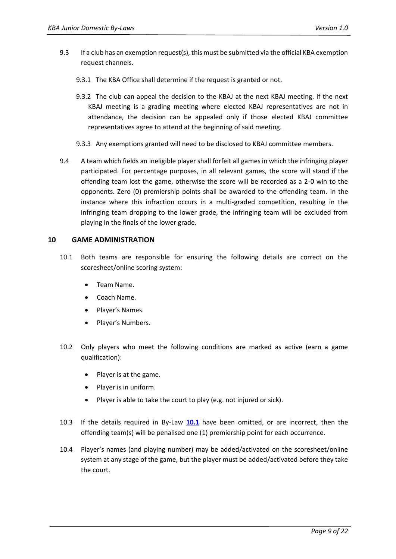- 9.3 If a club has an exemption request(s), this must be submitted via the official KBA exemption request channels.
	- 9.3.1 The KBA Office shall determine if the request is granted or not.
	- 9.3.2 The club can appeal the decision to the KBAJ at the next KBAJ meeting. If the next KBAJ meeting is a grading meeting where elected KBAJ representatives are not in attendance, the decision can be appealed only if those elected KBAJ committee representatives agree to attend at the beginning of said meeting.
	- 9.3.3 Any exemptions granted will need to be disclosed to KBAJ committee members.
- <span id="page-8-1"></span>9.4 A team which fields an ineligible player shall forfeit all games in which the infringing player participated. For percentage purposes, in all relevant games, the score will stand if the offending team lost the game, otherwise the score will be recorded as a 2-0 win to the opponents. Zero (0) premiership points shall be awarded to the offending team. In the instance where this infraction occurs in a multi-graded competition, resulting in the infringing team dropping to the lower grade, the infringing team will be excluded from playing in the finals of the lower grade.

#### <span id="page-8-0"></span>**10 GAME ADMINISTRATION**

- <span id="page-8-2"></span>10.1 Both teams are responsible for ensuring the following details are correct on the scoresheet/online scoring system:
	- Team Name.
	- Coach Name.
	- Player's Names.
	- Player's Numbers.
- 10.2 Only players who meet the following conditions are marked as active (earn a game qualification):
	- Player is at the game.
	- Player is in uniform.
	- Player is able to take the court to play (e.g. not injured or sick).
- 10.3 If the details required in By-Law **[10.1](#page-8-2)** have been omitted, or are incorrect, then the offending team(s) will be penalised one (1) premiership point for each occurrence.
- 10.4 Player's names (and playing number) may be added/activated on the scoresheet/online system at any stage of the game, but the player must be added/activated before they take the court.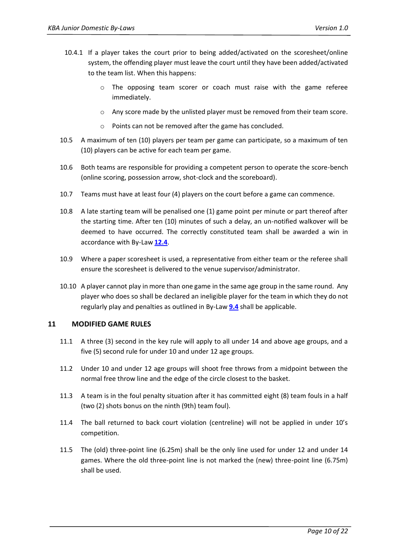- 10.4.1 If a player takes the court prior to being added/activated on the scoresheet/online system, the offending player must leave the court until they have been added/activated to the team list. When this happens:
	- o The opposing team scorer or coach must raise with the game referee immediately.
	- o Any score made by the unlisted player must be removed from their team score.
	- o Points can not be removed after the game has concluded.
- 10.5 A maximum of ten (10) players per team per game can participate, so a maximum of ten (10) players can be active for each team per game.
- 10.6 Both teams are responsible for providing a competent person to operate the score-bench (online scoring, possession arrow, shot-clock and the scoreboard).
- 10.7 Teams must have at least four (4) players on the court before a game can commence.
- 10.8 A late starting team will be penalised one (1) game point per minute or part thereof after the starting time. After ten (10) minutes of such a delay, an un-notified walkover will be deemed to have occurred. The correctly constituted team shall be awarded a win in accordance with By-Law **[12.4](#page-11-2)**.
- 10.9 Where a paper scoresheet is used, a representative from either team or the referee shall ensure the scoresheet is delivered to the venue supervisor/administrator.
- 10.10 A player cannot play in more than one game in the same age group in the same round. Any player who does so shall be declared an ineligible player for the team in which they do not regularly play and penalties as outlined in By-Law **[9.4](#page-8-1)** shall be applicable.

#### <span id="page-9-0"></span>**11 MODIFIED GAME RULES**

- 11.1 A three (3) second in the key rule will apply to all under 14 and above age groups, and a five (5) second rule for under 10 and under 12 age groups.
- 11.2 Under 10 and under 12 age groups will shoot free throws from a midpoint between the normal free throw line and the edge of the circle closest to the basket.
- 11.3 A team is in the foul penalty situation after it has committed eight (8) team fouls in a half (two (2) shots bonus on the ninth (9th) team foul).
- 11.4 The ball returned to back court violation (centreline) will not be applied in under 10's competition.
- 11.5 The (old) three-point line (6.25m) shall be the only line used for under 12 and under 14 games. Where the old three-point line is not marked the (new) three-point line (6.75m) shall be used.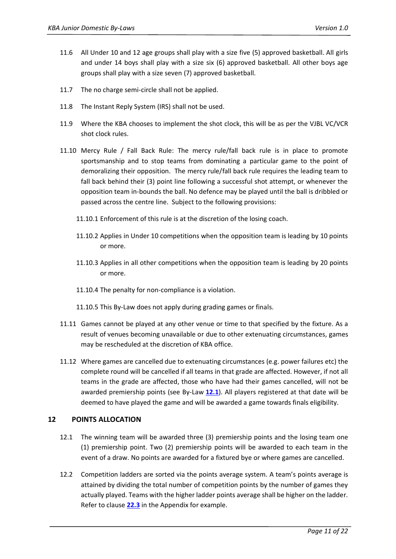- 11.6 All Under 10 and 12 age groups shall play with a size five (5) approved basketball. All girls and under 14 boys shall play with a size six (6) approved basketball. All other boys age groups shall play with a size seven (7) approved basketball.
- 11.7 The no charge semi-circle shall not be applied.
- 11.8 The Instant Reply System (IRS) shall not be used.
- 11.9 Where the KBA chooses to implement the shot clock, this will be as per the [VJBL VC/VCR](http://vjbl.com.au/wp-content/uploads/sites/3/2019/11/Championship-season-timing-all-.pdf)  [shot clock rules.](http://vjbl.com.au/wp-content/uploads/sites/3/2019/11/Championship-season-timing-all-.pdf)
- 11.10 Mercy Rule / Fall Back Rule: The mercy rule/fall back rule is in place to promote sportsmanship and to stop teams from dominating a particular game to the point of demoralizing their opposition. The mercy rule/fall back rule requires the leading team to fall back behind their (3) point line following a successful shot attempt, or whenever the opposition team in-bounds the ball. No defence may be played until the ball is dribbled or passed across the centre line. Subject to the following provisions:
	- 11.10.1 Enforcement of this rule is at the discretion of the losing coach.
	- 11.10.2 Applies in Under 10 competitions when the opposition team is leading by 10 points or more.
	- 11.10.3 Applies in all other competitions when the opposition team is leading by 20 points or more.
	- 11.10.4 The penalty for non-compliance is a violation.
	- 11.10.5 This By-Law does not apply during grading games or finals.
- 11.11 Games cannot be played at any other venue or time to that specified by the fixture. As a result of venues becoming unavailable or due to other extenuating circumstances, games may be rescheduled at the discretion of KBA office.
- 11.12 Where games are cancelled due to extenuating circumstances (e.g. power failures etc) the complete round will be cancelled if all teams in that grade are affected. However, if not all teams in the grade are affected, those who have had their games cancelled, will not be awarded premiership points (see By-Law **[12.1](#page-10-1)**). All players registered at that date will be deemed to have played the game and will be awarded a game towards finals eligibility.

#### <span id="page-10-0"></span>**12 POINTS ALLOCATION**

- <span id="page-10-1"></span>12.1 The winning team will be awarded three (3) premiership points and the losing team one (1) premiership point. Two (2) premiership points will be awarded to each team in the event of a draw. No points are awarded for a fixtured bye or where games are cancelled.
- 12.2 Competition ladders are sorted via the points average system. A team's points average is attained by dividing the total number of competition points by the number of games they actually played. Teams with the higher ladder points average shall be higher on the ladder. Refer to claus[e](#page-19-1) **[22.3](#page-19-1)** in the Appendix for example.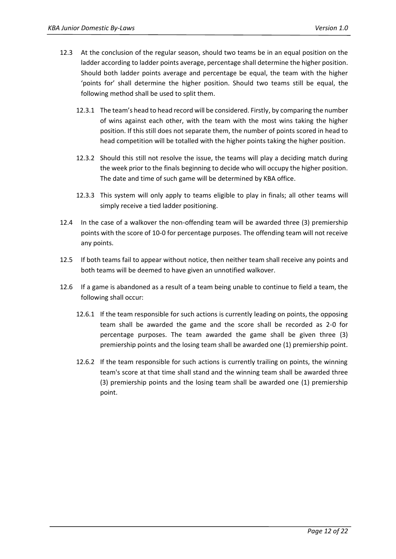- 12.3 At the conclusion of the regular season, should two teams be in an equal position on the ladder according to ladder points average, percentage shall determine the higher position. Should both ladder points average and percentage be equal, the team with the higher 'points for' shall determine the higher position. Should two teams still be equal, the following method shall be used to split them.
	- 12.3.1 The team's head to head record will be considered. Firstly, by comparing the number of wins against each other, with the team with the most wins taking the higher position. If this still does not separate them, the number of points scored in head to head competition will be totalled with the higher points taking the higher position.
	- 12.3.2 Should this still not resolve the issue, the teams will play a deciding match during the week prior to the finals beginning to decide who will occupy the higher position. The date and time of such game will be determined by KBA office.
	- 12.3.3 This system will only apply to teams eligible to play in finals; all other teams will simply receive a tied ladder positioning.
- <span id="page-11-2"></span>12.4 In the case of a walkover the non-offending team will be awarded three (3) premiership points with the score of 10-0 for percentage purposes. The offending team will not receive any points.
- 12.5 If both teams fail to appear without notice, then neither team shall receive any points and both teams will be deemed to have given an unnotified walkover.
- <span id="page-11-1"></span><span id="page-11-0"></span>12.6 If a game is abandoned as a result of a team being unable to continue to field a team, the following shall occur:
	- 12.6.1 If the team responsible for such actions is currently leading on points, the opposing team shall be awarded the game and the score shall be recorded as 2-0 for percentage purposes. The team awarded the game shall be given three (3) premiership points and the losing team shall be awarded one (1) premiership point.
	- 12.6.2 If the team responsible for such actions is currently trailing on points, the winning team's score at that time shall stand and the winning team shall be awarded three (3) premiership points and the losing team shall be awarded one (1) premiership point.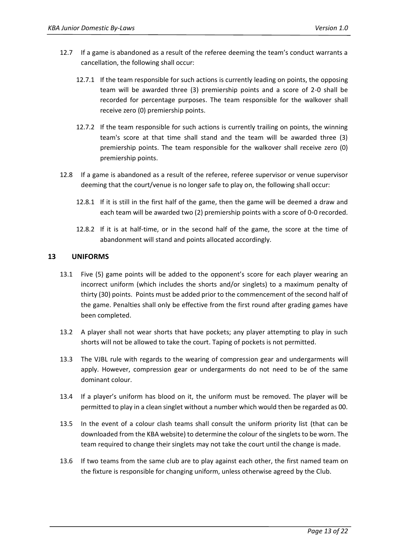- 12.7 If a game is abandoned as a result of the referee deeming the team's conduct warrants a cancellation, the following shall occur:
	- 12.7.1 If the team responsible for such actions is currently leading on points, the opposing team will be awarded three (3) premiership points and a score of 2-0 shall be recorded for percentage purposes. The team responsible for the walkover shall receive zero (0) premiership points.
	- 12.7.2 If the team responsible for such actions is currently trailing on points, the winning team's score at that time shall stand and the team will be awarded three (3) premiership points. The team responsible for the walkover shall receive zero (0) premiership points.
- <span id="page-12-1"></span>12.8 If a game is abandoned as a result of the referee, referee supervisor or venue supervisor deeming that the court/venue is no longer safe to play on, the following shall occur:
	- 12.8.1 If it is still in the first half of the game, then the game will be deemed a draw and each team will be awarded two (2) premiership points with a score of 0-0 recorded.
	- 12.8.2 If it is at half-time, or in the second half of the game, the score at the time of abandonment will stand and points allocated accordingly.

#### <span id="page-12-0"></span>**13 UNIFORMS**

- 13.1 Five (5) game points will be added to the opponent's score for each player wearing an incorrect uniform (which includes the shorts and/or singlets) to a maximum penalty of thirty (30) points. Points must be added prior to the commencement of the second half of the game. Penalties shall only be effective from the first round after grading games have been completed.
- 13.2 A player shall not wear shorts that have pockets; any player attempting to play in such shorts will not be allowed to take the court. Taping of pockets is not permitted.
- 13.3 The VJBL rule with regards to the wearing of compression gear and undergarments will apply. However, compression gear or undergarments do not need to be of the same dominant colour.
- 13.4 If a player's uniform has blood on it, the uniform must be removed. The player will be permitted to play in a clean singlet without a number which would then be regarded as 00.
- <span id="page-12-2"></span>13.5 In the event of a colour clash teams shall consult the uniform priority list (that can be downloaded from the KBA [website\)](https://www.keilorbasketball.com/forms) to determine the colour of the singlets to be worn. The team required to change their singlets may not take the court until the change is made.
- 13.6 If two teams from the same club are to play against each other, the first named team on the fixture is responsible for changing uniform, unless otherwise agreed by the Club.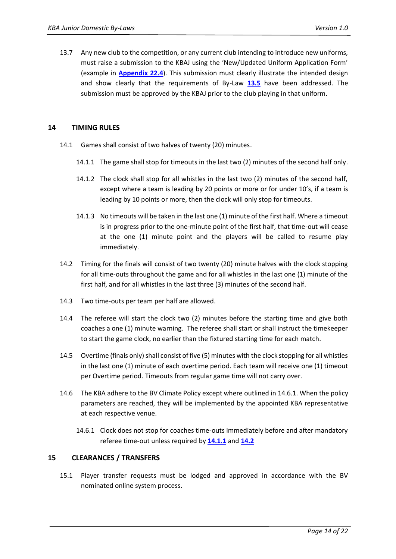13.7 Any new club to the competition, or any current club intending to introduce new uniforms, must raise a submission to the KBAJ using the 'New/Updated Uniform Application Form' (example in **Appendix [22.4](#page-20-0)**). This submission must clearly illustrate the intended design and show clearly that the requirements of By-Law **[13.5](#page-12-2)** have been addressed. The submission must be approved by the KBAJ prior to the club playing in that uniform.

#### <span id="page-13-0"></span>**14 TIMING RULES**

- <span id="page-13-2"></span>14.1 Games shall consist of two halves of twenty (20) minutes.
	- 14.1.1 The game shall stop for timeouts in the last two (2) minutes of the second half only.
	- 14.1.2 The clock shall stop for all whistles in the last two (2) minutes of the second half, except where a team is leading by 20 points or more or for under 10's, if a team is leading by 10 points or more, then the clock will only stop for timeouts.
	- 14.1.3 No timeouts will be taken in the last one (1) minute of the first half. Where a timeout is in progress prior to the one-minute point of the first half, that time-out will cease at the one (1) minute point and the players will be called to resume play immediately.
- <span id="page-13-3"></span>14.2 Timing for the finals will consist of two twenty (20) minute halves with the clock stopping for all time-outs throughout the game and for all whistles in the last one (1) minute of the first half, and for all whistles in the last three (3) minutes of the second half.
- 14.3 Two time-outs per team per half are allowed.
- 14.4 The referee will start the clock two (2) minutes before the starting time and give both coaches a one (1) minute warning. The referee shall start or shall instruct the timekeeper to start the game clock, no earlier than the fixtured starting time for each match.
- 14.5 Overtime (finals only) shall consist of five (5) minutes with the clock stopping for all whistles in the last one (1) minute of each overtime period. Each team will receive one (1) timeout per Overtime period. Timeouts from regular game time will not carry over.
- 14.6 The KBA adhere to the BV Climate Policy except where outlined in 14.6.1. When the policy parameters are reached, they will be implemented by the appointed KBA representative at each respective venue.
	- 14.6.1 Clock does not stop for coaches time-outs immediately before and after mandatory referee time-out unless required by **[14.1.1](#page-13-2)** and **[14.2](#page-13-3)**

#### <span id="page-13-1"></span>**15 CLEARANCES / TRANSFERS**

15.1 Player transfer requests must be lodged and approved in accordance with the BV nominated online system process.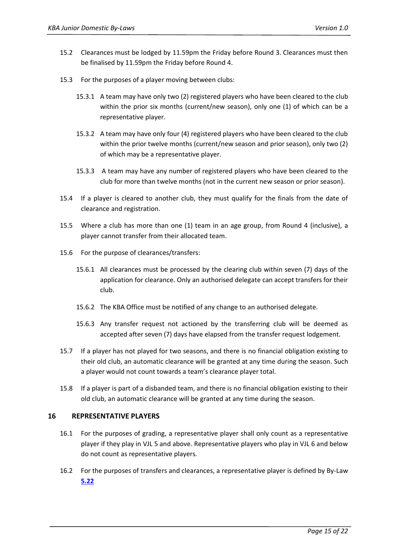- 15.2 Clearances must be lodged by 11.59pm the Friday before Round 3. Clearances must then be finalised by 11.59pm the Friday before Round 4.
- 15.3 For the purposes of a player moving between clubs:
	- 15.3.1 A team may have only two (2) registered players who have been cleared to the club within the prior six months (current/new season), only one (1) of which can be a representative player.
	- 15.3.2 A team may have only four (4) registered players who have been cleared to the club within the prior twelve months (current/new season and prior season), only two (2) of which may be a representative player.
	- 15.3.3 A team may have any number of registered players who have been cleared to the club for more than twelve months (not in the current new season or prior season).
- 15.4 If a player is cleared to another club, they must qualify for the finals from the date of clearance and registration.
- 15.5 Where a club has more than one (1) team in an age group, from Round 4 (inclusive), a player cannot transfer from their allocated team.
- 15.6 For the purpose of clearances/transfers:
	- 15.6.1 All clearances must be processed by the clearing club within seven (7) days of the application for clearance. Only an authorised delegate can accept transfers for their club.
	- 15.6.2 The KBA Office must be notified of any change to an authorised delegate.
	- 15.6.3 Any transfer request not actioned by the transferring club will be deemed as accepted after seven (7) days have elapsed from the transfer request lodgement.
- 15.7 If a player has not played for two seasons, and there is no financial obligation existing to their old club, an automatic clearance will be granted at any time during the season. Such a player would not count towards a team's clearance player total.
- 15.8 If a player is part of a disbanded team, and there is no financial obligation existing to their old club, an automatic clearance will be granted at any time during the season.

#### <span id="page-14-0"></span>**16 REPRESENTATIVE PLAYERS**

- 16.1 For the purposes of grading, a representative player shall only count as a representative player if they play in VJL 5 and above. Representative players who play in VJL 6 and below do not count as representative players.
- 16.2 For the purposes of transfers and clearances, a representative player is defined by By-Law **[5.22](#page-5-0)**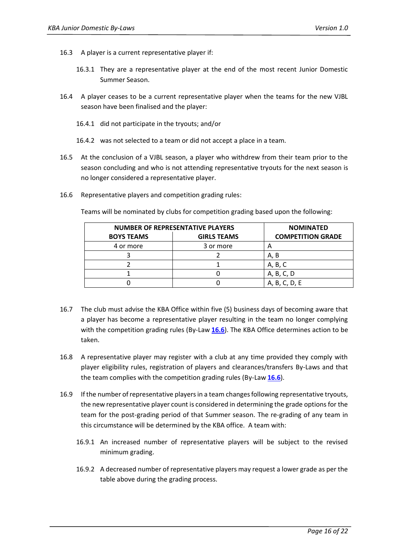- 16.3 A player is a current representative player if:
	- 16.3.1 They are a representative player at the end of the most recent Junior Domestic Summer Season.
- 16.4 A player ceases to be a current representative player when the teams for the new VJBL season have been finalised and the player:
	- 16.4.1 did not participate in the tryouts; and/or
	- 16.4.2 was not selected to a team or did not accept a place in a team.
- 16.5 At the conclusion of a VJBL season, a player who withdrew from their team prior to the season concluding and who is not attending representative tryouts for the next season is no longer considered a representative player.
- <span id="page-15-0"></span>16.6 Representative players and competition grading rules:

Teams will be nominated by clubs for competition grading based upon the following:

| <b>NUMBER OF REPRESENTATIVE PLAYERS</b> | <b>NOMINATED</b>   |                          |
|-----------------------------------------|--------------------|--------------------------|
| <b>BOYS TEAMS</b>                       | <b>GIRLS TEAMS</b> | <b>COMPETITION GRADE</b> |
| 4 or more                               | 3 or more          | A                        |
|                                         |                    | A, B                     |
|                                         |                    | A, B, C                  |
|                                         |                    | A, B, C, D               |
|                                         |                    | A, B, C, D, E            |

- <span id="page-15-1"></span>16.7 The club must advise the KBA Office within five (5) business days of becoming aware that a player has become a representative player resulting in the team no longer complying with the competition grading rules (By-Law **[16.6](#page-15-0)**). The KBA Office determines action to be taken.
- 16.8 A representative player may register with a club at any time provided they comply with player eligibility rules, registration of players and clearances/transfers By-Laws and that the team complies with the competition grading rules (By-Law **[16.6](#page-15-0)**).
- 16.9 If the number of representative players in a team changes following representative tryouts, the new representative player count is considered in determining the grade options for the team for the post-grading period of that Summer season. The re-grading of any team in this circumstance will be determined by the KBA office. A team with:
	- 16.9.1 An increased number of representative players will be subject to the revised minimum grading.
	- 16.9.2 A decreased number of representative players may request a lower grade as per the table above during the grading process.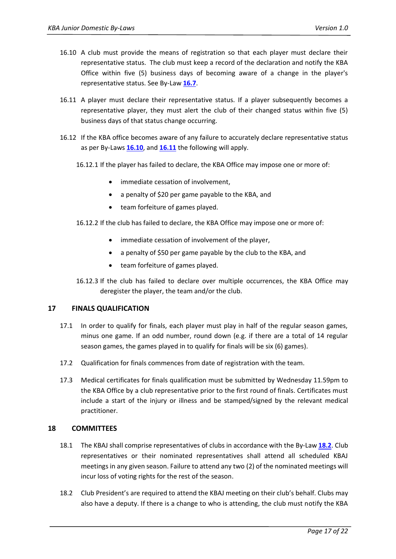- <span id="page-16-2"></span>16.10 A club must provide the means of registration so that each player must declare their representative status. The club must keep a record of the declaration and notify the KBA Office within five (5) business days of becoming aware of a change in the player's representative status. See By-Law **[16.7](#page-15-1)**.
- <span id="page-16-3"></span>16.11 A player must declare their representative status. If a player subsequently becomes a representative player, they must alert the club of their changed status within five (5) business days of that status change occurring.
- 16.12 If the KBA office becomes aware of any failure to accurately declare representative status as per By-Laws **[16.10](#page-16-2)**, and **[16.11](#page-16-3)** the following will apply.
	- 16.12.1 If the player has failed to declare, the KBA Office may impose one or more of:
		- immediate cessation of involvement,
		- a penalty of \$20 per game payable to the KBA, and
		- team forfeiture of games played.
	- 16.12.2 If the club has failed to declare, the KBA Office may impose one or more of:
		- immediate cessation of involvement of the player,
		- a penalty of \$50 per game payable by the club to the KBA, and
		- team forfeiture of games played.
	- 16.12.3 If the club has failed to declare over multiple occurrences, the KBA Office may deregister the player, the team and/or the club.

#### <span id="page-16-0"></span>**17 FINALS QUALIFICATION**

- 17.1 In order to qualify for finals, each player must play in half of the regular season games, minus one game. If an odd number, round down (e.g. if there are a total of 14 regular season games, the games played in to qualify for finals will be six (6) games).
- 17.2 Qualification for finals commences from date of registration with the team.
- 17.3 Medical certificates for finals qualification must be submitted by Wednesday 11.59pm to the KBA Office by a club representative prior to the first round of finals. Certificates must include a start of the injury or illness and be stamped/signed by the relevant medical practitioner.

#### <span id="page-16-1"></span>**18 COMMITTEES**

- 18.1 The KBAJ shall comprise representatives of clubs in accordance with the By-Law **[18.2](#page-16-4)**. Club representatives or their nominated representatives shall attend all scheduled KBAJ meetings in any given season. Failure to attend any two (2) of the nominated meetings will incur loss of voting rights for the rest of the season.
- <span id="page-16-4"></span>18.2 Club President's are required to attend the KBAJ meeting on their club's behalf. Clubs may also have a deputy. If there is a change to who is attending, the club must notify the KBA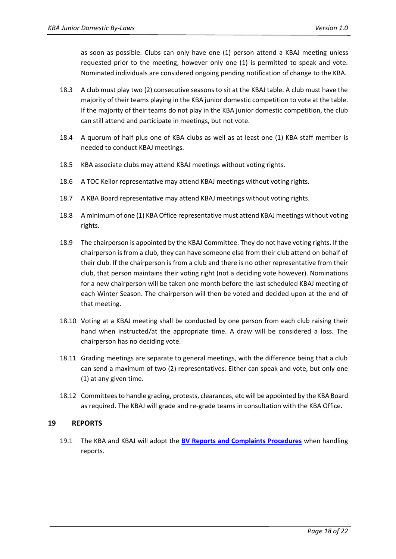as soon as possible. Clubs can only have one (1) person attend a KBAJ meeting unless requested prior to the meeting, however only one (1) is permitted to speak and vote. Nominated individuals are considered ongoing pending notification of change to the KBA.

- 18.3 A club must play two (2) consecutive seasons to sit at the KBAJ table. A club must have the majority of their teams playing in the KBA junior domestic competition to vote at the table. If the majority of their teams do not play in the KBA junior domestic competition, the club can still attend and participate in meetings, but not vote.
- 18.4 A quorum of half plus one of KBA clubs as well as at least one (1) KBA staff member is needed to conduct KBAJ meetings.
- 18.5 KBA associate clubs may attend KBAJ meetings without voting rights.
- 18.6 A TOC Keilor representative may attend KBAJ meetings without voting rights.
- 18.7 A KBA Board representative may attend KBAJ meetings without voting rights.
- 18.8 A minimum of one (1) KBA Office representative must attend KBAJ meetings without voting rights.
- 18.9 The chairperson is appointed by the KBAJ Committee. They do not have voting rights. If the chairperson is from a club, they can have someone else from their club attend on behalf of their club. If the chairperson is from a club and there is no other representative from their club, that person maintains their voting right (not a deciding vote however). Nominations for a new chairperson will be taken one month before the last scheduled KBAJ meeting of each Winter Season. The chairperson will then be voted and decided upon at the end of that meeting.
- 18.10 Voting at a KBAJ meeting shall be conducted by one person from each club raising their hand when instructed/at the appropriate time. A draw will be considered a loss. The chairperson has no deciding vote.
- 18.11 Grading meetings are separate to general meetings, with the difference being that a club can send a maximum of two (2) representatives. Either can speak and vote, but only one (1) at any given time.
- 18.12 Committees to handle grading, protests, clearances, etc will be appointed by the KBA Board as required. The KBAJ will grade and re-grade teams in consultation with the KBA Office.

#### <span id="page-17-0"></span>**19 REPORTS**

<span id="page-17-1"></span>19.1 The KBA and KBAJ will adopt the **[BV Reports and Complaints Procedures](https://basketballvictoria.com.au/wp-content/uploads/2016/02/Reports_and_Complaints_Booklet.pdf)** when handling reports.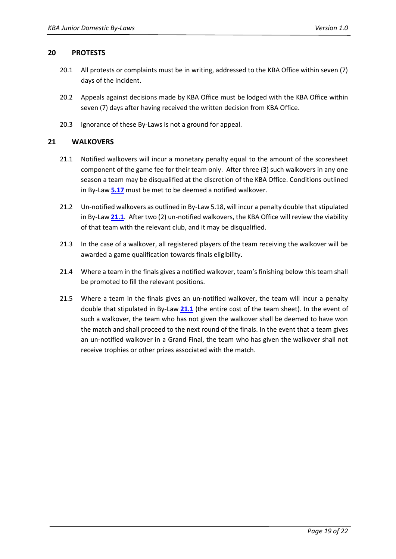#### **20 PROTESTS**

- 20.1 All protests or complaints must be in writing, addressed to the KBA Office within seven (7) days of the incident.
- 20.2 Appeals against decisions made by KBA Office must be lodged with the KBA Office within seven (7) days after having received the written decision from KBA Office.
- 20.3 Ignorance of these By-Laws is not a ground for appeal.

#### <span id="page-18-0"></span>**21 WALKOVERS**

- <span id="page-18-1"></span>21.1 Notified walkovers will incur a monetary penalty equal to the amount of the scoresheet component of the game fee for their team only. After three (3) such walkovers in any one season a team may be disqualified at the discretion of the KBA Office. Conditions outlined in By-Law **[5.17](#page-5-1)** must be met to be deemed a notified walkover.
- 21.2 Un-notified walkovers as outlined in By-Law [5.18,](#page-5-2) will incur a penalty double that stipulated in By-Law **[21.1](#page-18-1)**. After two (2) un-notified walkovers, the KBA Office will review the viability of that team with the relevant club, and it may be disqualified.
- 21.3 In the case of a walkover, all registered players of the team receiving the walkover will be awarded a game qualification towards finals eligibility.
- 21.4 Where a team in the finals gives a notified walkover, team's finishing below this team shall be promoted to fill the relevant positions.
- 21.5 Where a team in the finals gives an un-notified walkover, the team will incur a penalty double that stipulated in By-Law **[21.1](#page-18-1)** (the entire cost of the team sheet). In the event of such a walkover, the team who has not given the walkover shall be deemed to have won the match and shall proceed to the next round of the finals. In the event that a team gives an un-notified walkover in a Grand Final, the team who has given the walkover shall not receive trophies or other prizes associated with the match.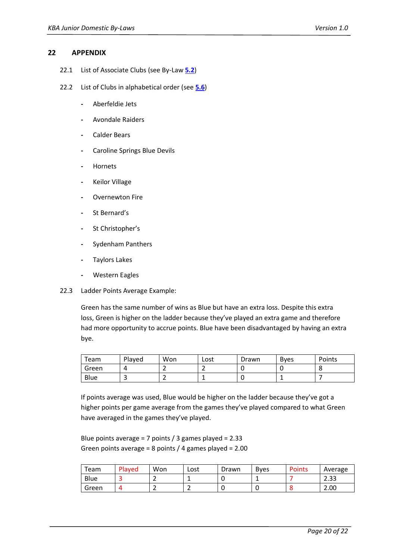#### <span id="page-19-0"></span>**22 APPENDIX**

- 22.1 List of Associate Clubs (see By-Law **[5.2](#page-4-2)**)
- 22.2 List of Clubs in alphabetical order (se[e](#page-4-3) **[5.6](#page-4-3)**)
	- **-** Aberfeldie Jets
	- **-** Avondale Raiders
	- **-** Calder Bears
	- **-** Caroline Springs Blue Devils
	- **-** Hornets
	- **-** Keilor Village
	- **-** Overnewton Fire
	- **-** St Bernard's
	- **-** St Christopher's
	- **-** Sydenham Panthers
	- **-** Taylors Lakes
	- **-** Western Eagles
- <span id="page-19-1"></span>22.3 Ladder Points Average Example:

Green has the same number of wins as Blue but have an extra loss. Despite this extra loss, Green is higher on the ladder because they've played an extra game and therefore had more opportunity to accrue points. Blue have been disadvantaged by having an extra bye.

| Team  | Played | Won | Lost | Drawn | <b>B</b> ves | Points |
|-------|--------|-----|------|-------|--------------|--------|
| Green |        |     |      |       |              |        |
| Blue  |        |     | --   | ັ     |              |        |

If points average was used, Blue would be higher on the ladder because they've got a higher points per game average from the games they've played compared to what Green have averaged in the games they've played.

Blue points average = 7 points / 3 games played = 2.33 Green points average = 8 points / 4 games played = 2.00

| Team  | Played | Won | Lost | Drawn | <b>Byes</b> | <b>Points</b> | Average      |
|-------|--------|-----|------|-------|-------------|---------------|--------------|
| Blue  |        | -   |      |       |             |               | າ າາ<br>دد.ے |
| Green |        | -   | -    |       |             |               | 2.00         |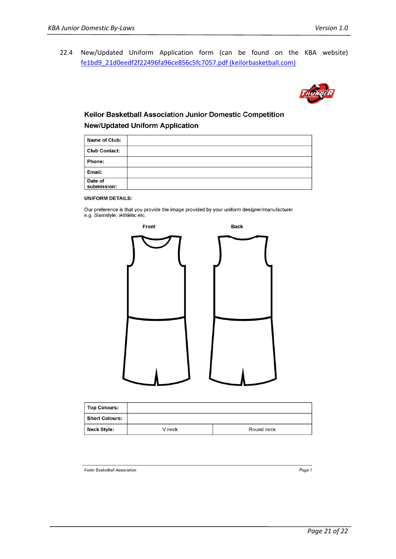<span id="page-20-0"></span>22.4 New/Updated Uniform Application form (can be found on the KBA website) [fe1bd9\\_21d0eedf2f22496fa96ce856c5fc7057.pdf \(keilorbasketball.com\)](https://www.keilorbasketball.com/_files/ugd/fe1bd9_21d0eedf2f22496fa96ce856c5fc7057.pdf)



#### Keilor Basketball Association Junior Domestic Competition **New/Updated Uniform Application**

| Name of Club:          |  |
|------------------------|--|
| <b>Club Contact:</b>   |  |
| Phone:                 |  |
| Email:                 |  |
| Date of<br>submission: |  |

#### **UNIFORM DETAILS:**

Our preference is that you provide the image provided by your uniform designer/manufacturer e.g. Slamstyle, iAthletic etc.



| <b>Top Colours:</b>   |        |            |
|-----------------------|--------|------------|
| <b>Short Colours:</b> |        |            |
| Neck Style:           | V neck | Round neck |

Keilor Basketball Association

Page 1